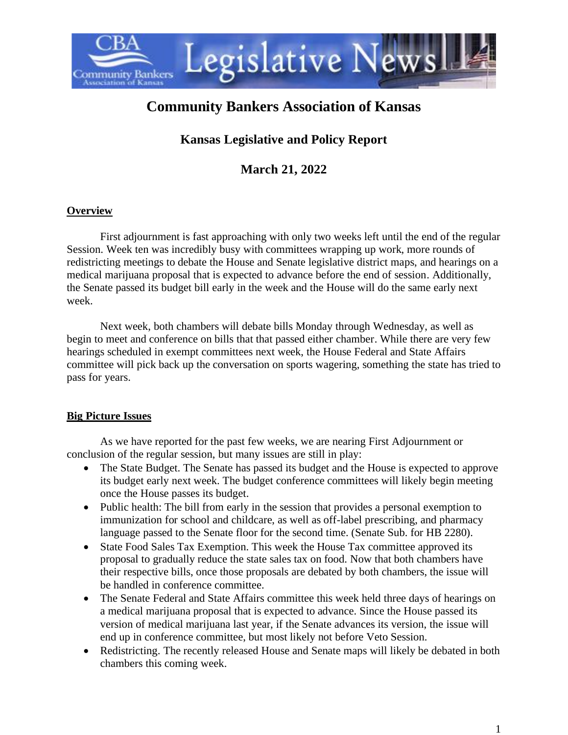

# **Community Bankers Association of Kansas**

# **Kansas Legislative and Policy Report**

**March 21, 2022**

## **Overview**

First adjournment is fast approaching with only two weeks left until the end of the regular Session. Week ten was incredibly busy with committees wrapping up work, more rounds of redistricting meetings to debate the House and Senate legislative district maps, and hearings on a medical marijuana proposal that is expected to advance before the end of session. Additionally, the Senate passed its budget bill early in the week and the House will do the same early next week.

Next week, both chambers will debate bills Monday through Wednesday, as well as begin to meet and conference on bills that that passed either chamber. While there are very few hearings scheduled in exempt committees next week, the House Federal and State Affairs committee will pick back up the conversation on sports wagering, something the state has tried to pass for years.

## **Big Picture Issues**

As we have reported for the past few weeks, we are nearing First Adjournment or conclusion of the regular session, but many issues are still in play:

- The State Budget. The Senate has passed its budget and the House is expected to approve its budget early next week. The budget conference committees will likely begin meeting once the House passes its budget.
- Public health: The bill from early in the session that provides a personal exemption to immunization for school and childcare, as well as off-label prescribing, and pharmacy language passed to the Senate floor for the second time. (Senate Sub. for HB 2280).
- State Food Sales Tax Exemption. This week the House Tax committee approved its proposal to gradually reduce the state sales tax on food. Now that both chambers have their respective bills, once those proposals are debated by both chambers, the issue will be handled in conference committee.
- The Senate Federal and State Affairs committee this week held three days of hearings on a medical marijuana proposal that is expected to advance. Since the House passed its version of medical marijuana last year, if the Senate advances its version, the issue will end up in conference committee, but most likely not before Veto Session.
- Redistricting. The recently released House and Senate maps will likely be debated in both chambers this coming week.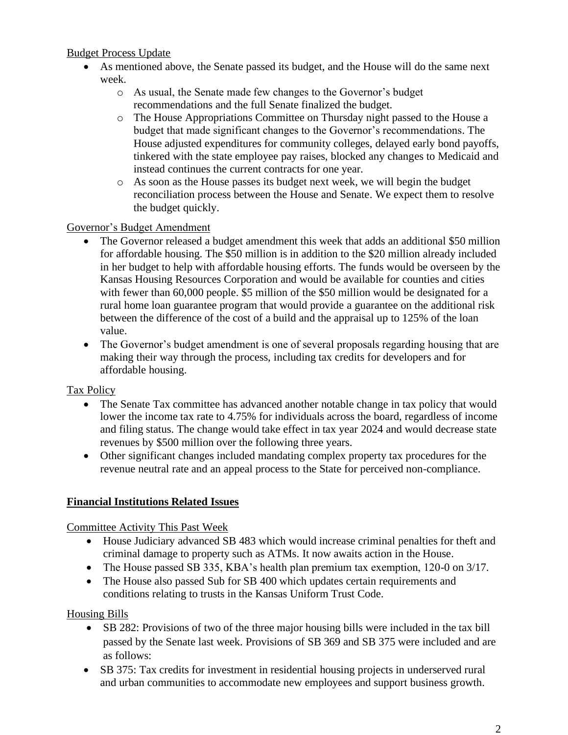#### Budget Process Update

- As mentioned above, the Senate passed its budget, and the House will do the same next week.
	- o As usual, the Senate made few changes to the Governor's budget recommendations and the full Senate finalized the budget.
	- o The House Appropriations Committee on Thursday night passed to the House a budget that made significant changes to the Governor's recommendations. The House adjusted expenditures for community colleges, delayed early bond payoffs, tinkered with the state employee pay raises, blocked any changes to Medicaid and instead continues the current contracts for one year.
	- o As soon as the House passes its budget next week, we will begin the budget reconciliation process between the House and Senate. We expect them to resolve the budget quickly.

#### Governor's Budget Amendment

- The Governor released a budget amendment this week that adds an additional \$50 million for affordable housing. The \$50 million is in addition to the \$20 million already included in her budget to help with affordable housing efforts. The funds would be overseen by the Kansas Housing Resources Corporation and would be available for counties and cities with fewer than 60,000 people. \$5 million of the \$50 million would be designated for a rural home loan guarantee program that would provide a guarantee on the additional risk between the difference of the cost of a build and the appraisal up to 125% of the loan value.
- The Governor's budget amendment is one of several proposals regarding housing that are making their way through the process, including tax credits for developers and for affordable housing.

## Tax Policy

- The Senate Tax committee has advanced another notable change in tax policy that would lower the income tax rate to 4.75% for individuals across the board, regardless of income and filing status. The change would take effect in tax year 2024 and would decrease state revenues by \$500 million over the following three years.
- Other significant changes included mandating complex property tax procedures for the revenue neutral rate and an appeal process to the State for perceived non-compliance.

## **Financial Institutions Related Issues**

Committee Activity This Past Week

- House Judiciary advanced SB 483 which would increase criminal penalties for theft and criminal damage to property such as ATMs. It now awaits action in the House.
- The House passed SB 335, KBA's health plan premium tax exemption, 120-0 on 3/17.
- The House also passed Sub for SB 400 which updates certain requirements and conditions relating to trusts in the Kansas Uniform Trust Code.

Housing Bills

- SB 282: Provisions of two of the three major housing bills were included in the tax bill passed by the Senate last week. Provisions of SB 369 and SB 375 were included and are as follows:
- SB 375: Tax credits for investment in residential housing projects in underserved rural and urban communities to accommodate new employees and support business growth.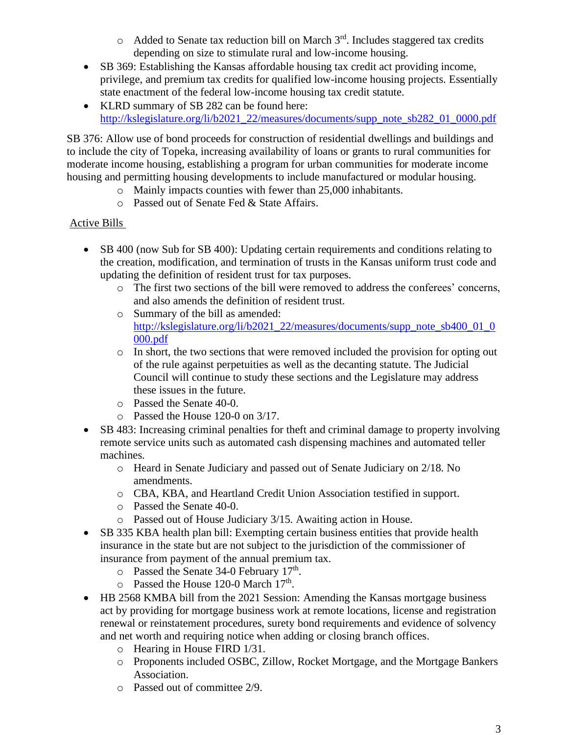- $\circ$  Added to Senate tax reduction bill on March  $3<sup>rd</sup>$ . Includes staggered tax credits depending on size to stimulate rural and low-income housing.
- SB 369: Establishing the Kansas affordable housing tax credit act providing income, privilege, and premium tax credits for qualified low-income housing projects. Essentially state enactment of the federal low-income housing tax credit statute.
- KLRD summary of SB 282 can be found here: [http://kslegislature.org/li/b2021\\_22/measures/documents/supp\\_note\\_sb282\\_01\\_0000.pdf](http://kslegislature.org/li/b2021_22/measures/documents/supp_note_sb282_01_0000.pdf)

SB 376: Allow use of bond proceeds for construction of residential dwellings and buildings and to include the city of Topeka, increasing availability of loans or grants to rural communities for moderate income housing, establishing a program for urban communities for moderate income housing and permitting housing developments to include manufactured or modular housing.

- o Mainly impacts counties with fewer than 25,000 inhabitants.
- o Passed out of Senate Fed & State Affairs.

## Active Bills

- SB 400 (now Sub for SB 400): Updating certain requirements and conditions relating to the creation, modification, and termination of trusts in the Kansas uniform trust code and updating the definition of resident trust for tax purposes.
	- o The first two sections of the bill were removed to address the conferees' concerns, and also amends the definition of resident trust.
	- o Summary of the bill as amended: [http://kslegislature.org/li/b2021\\_22/measures/documents/supp\\_note\\_sb400\\_01\\_0](http://kslegislature.org/li/b2021_22/measures/documents/supp_note_sb400_01_0000.pdf) [000.pdf](http://kslegislature.org/li/b2021_22/measures/documents/supp_note_sb400_01_0000.pdf)
	- o In short, the two sections that were removed included the provision for opting out of the rule against perpetuities as well as the decanting statute. The Judicial Council will continue to study these sections and the Legislature may address these issues in the future.
	- o Passed the Senate 40-0.
	- o Passed the House 120-0 on 3/17.
- SB 483: Increasing criminal penalties for theft and criminal damage to property involving remote service units such as automated cash dispensing machines and automated teller machines.
	- o Heard in Senate Judiciary and passed out of Senate Judiciary on 2/18. No amendments.
	- o CBA, KBA, and Heartland Credit Union Association testified in support.
	- o Passed the Senate 40-0.
	- o Passed out of House Judiciary 3/15. Awaiting action in House.
- SB 335 KBA health plan bill: Exempting certain business entities that provide health insurance in the state but are not subject to the jurisdiction of the commissioner of insurance from payment of the annual premium tax.
	- $\circ$  Passed the Senate 34-0 February 17<sup>th</sup>.
	- $\circ$  Passed the House 120-0 March 17<sup>th</sup>.
- HB 2568 KMBA bill from the 2021 Session: Amending the Kansas mortgage business act by providing for mortgage business work at remote locations, license and registration renewal or reinstatement procedures, surety bond requirements and evidence of solvency and net worth and requiring notice when adding or closing branch offices.
	- o Hearing in House FIRD 1/31.
	- o Proponents included OSBC, Zillow, Rocket Mortgage, and the Mortgage Bankers Association.
	- o Passed out of committee 2/9.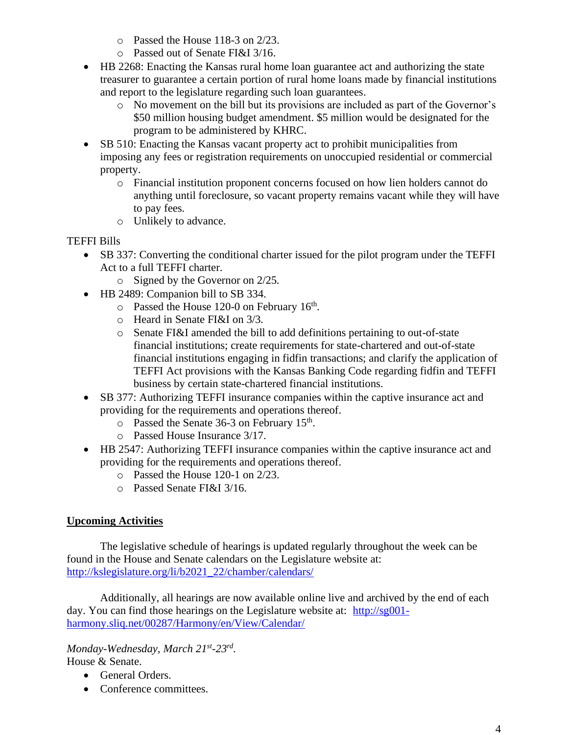- o Passed the House 118-3 on 2/23.
- o Passed out of Senate FI&I 3/16.
- HB 2268: Enacting the Kansas rural home loan guarantee act and authorizing the state treasurer to guarantee a certain portion of rural home loans made by financial institutions and report to the legislature regarding such loan guarantees.
	- o No movement on the bill but its provisions are included as part of the Governor's \$50 million housing budget amendment. \$5 million would be designated for the program to be administered by KHRC.
- SB 510: Enacting the Kansas vacant property act to prohibit municipalities from imposing any fees or registration requirements on unoccupied residential or commercial property.
	- o Financial institution proponent concerns focused on how lien holders cannot do anything until foreclosure, so vacant property remains vacant while they will have to pay fees.
	- o Unlikely to advance.

#### TEFFI Bills

- SB 337: Converting the conditional charter issued for the pilot program under the TEFFI Act to a full TEFFI charter.
	- o Signed by the Governor on 2/25.
- HB 2489: Companion bill to SB 334.
	- $\circ$  Passed the House 120-0 on February 16<sup>th</sup>.
	- o Heard in Senate FI&I on 3/3.
	- o Senate FI&I amended the bill to add definitions pertaining to out-of-state financial institutions; create requirements for state-chartered and out-of-state financial institutions engaging in fidfin transactions; and clarify the application of TEFFI Act provisions with the Kansas Banking Code regarding fidfin and TEFFI business by certain state-chartered financial institutions.
- SB 377: Authorizing TEFFI insurance companies within the captive insurance act and providing for the requirements and operations thereof.
	- $\circ$  Passed the Senate 36-3 on February 15<sup>th</sup>.
	- o Passed House Insurance 3/17.
- HB 2547: Authorizing TEFFI insurance companies within the captive insurance act and providing for the requirements and operations thereof.
	- o Passed the House 120-1 on 2/23.
	- o Passed Senate FI&I 3/16.

## **Upcoming Activities**

The legislative schedule of hearings is updated regularly throughout the week can be found in the House and Senate calendars on the Legislature website at: [http://kslegislature.org/li/b2021\\_22/chamber/calendars/](http://kslegislature.org/li/b2021_22/chamber/calendars/)

Additionally, all hearings are now available online live and archived by the end of each day. You can find those hearings on the Legislature website at: [http://sg001](http://sg001-harmony.sliq.net/00287/Harmony/en/View/Calendar/) [harmony.sliq.net/00287/Harmony/en/View/Calendar/](http://sg001-harmony.sliq.net/00287/Harmony/en/View/Calendar/)

*Monday-Wednesday, March 21st -23rd .*  House & Senate.

- General Orders.
- Conference committees.